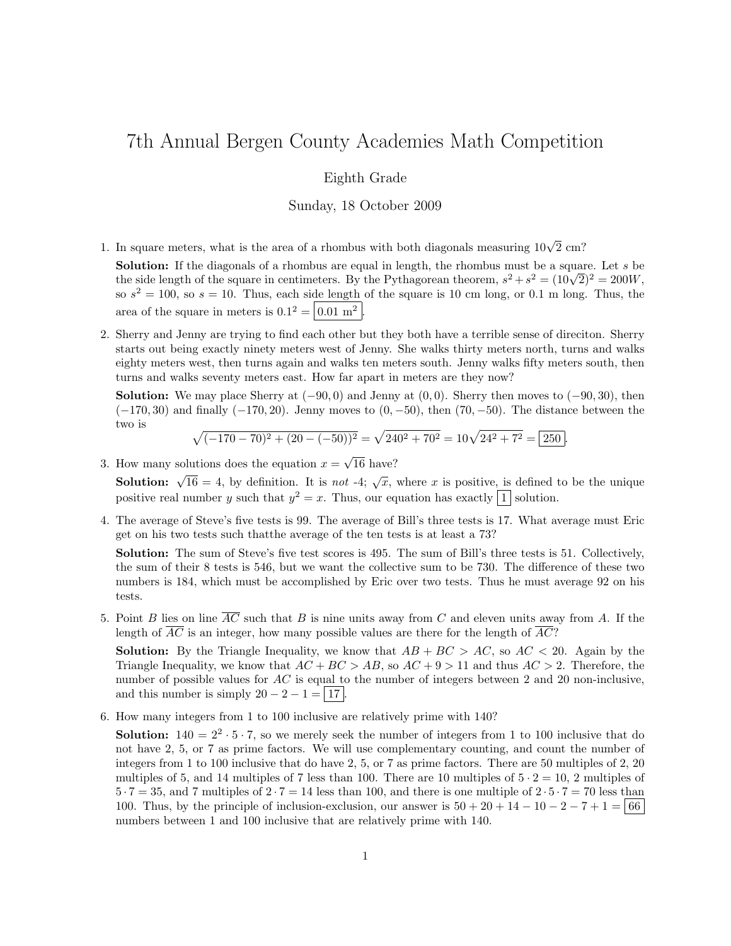# 7th Annual Bergen County Academies Math Competition

## Eighth Grade

## Sunday, 18 October 2009

1. In square meters, what is the area of a rhombus with both diagonals measuring  $10\sqrt{2}$  cm?

Solution: If the diagonals of a rhombus are equal in length, the rhombus must be a square. Let s be **Solution:** If the diagonals of a rhombus are equal in length, the rhombus must be a square. Let s be the side length of the square in centimeters. By the Pythagorean theorem,  $s^2 + s^2 = (10\sqrt{2})^2 = 200W$ , so  $s^2 = 100$ , so  $s = 10$ . Thus, each side length of the square is 10 cm long, or 0.1 m long. Thus, the area of the square in meters is  $0.1^2 = |0.01 \text{ m}^2$ .

2. Sherry and Jenny are trying to find each other but they both have a terrible sense of direciton. Sherry starts out being exactly ninety meters west of Jenny. She walks thirty meters north, turns and walks eighty meters west, then turns again and walks ten meters south. Jenny walks fifty meters south, then turns and walks seventy meters east. How far apart in meters are they now?

**Solution:** We may place Sherry at  $(-90, 0)$  and Jenny at  $(0, 0)$ . Sherry then moves to  $(-90, 30)$ , then  $(-170, 30)$  and finally  $(-170, 20)$ . Jenny moves to  $(0, -50)$ , then  $(70, -50)$ . The distance between the two is

$$
\sqrt{(-170 - 70)^2 + (20 - (-50))^2} = \sqrt{240^2 + 70^2} = 10\sqrt{24^2 + 7^2} = \boxed{250}.
$$

3. How many solutions does the equation  $x =$ 16 have?

**Solution:**  $\sqrt{16} = 4$ , by definition. It is not -4;  $\sqrt{x}$ , where x is positive, is defined to be the unique positive real number y such that  $y^2 = x$ . Thus, our equation has exactly 1 solution.

4. The average of Steve's five tests is 99. The average of Bill's three tests is 17. What average must Eric get on his two tests such thatthe average of the ten tests is at least a 73?

Solution: The sum of Steve's five test scores is 495. The sum of Bill's three tests is 51. Collectively, the sum of their 8 tests is 546, but we want the collective sum to be 730. The difference of these two numbers is 184, which must be accomplished by Eric over two tests. Thus he must average 92 on his tests.

5. Point B lies on line  $\overline{AC}$  such that B is nine units away from C and eleven units away from A. If the length of  $AC$  is an integer, how many possible values are there for the length of  $AC$ ?

**Solution:** By the Triangle Inequality, we know that  $AB + BC > AC$ , so  $AC < 20$ . Again by the Triangle Inequality, we know that  $AC + BC > AB$ , so  $AC + 9 > 11$  and thus  $AC > 2$ . Therefore, the number of possible values for AC is equal to the number of integers between 2 and 20 non-inclusive, and this number is simply  $20 - 2 - 1 = |17|$ .

6. How many integers from 1 to 100 inclusive are relatively prime with 140?

**Solution:**  $140 = 2^2 \cdot 5 \cdot 7$ , so we merely seek the number of integers from 1 to 100 inclusive that do not have 2, 5, or 7 as prime factors. We will use complementary counting, and count the number of integers from 1 to 100 inclusive that do have 2, 5, or 7 as prime factors. There are 50 multiples of 2, 20 multiples of 5, and 14 multiples of 7 less than 100. There are 10 multiples of  $5 \cdot 2 = 10$ , 2 multiples of  $5 \cdot 7 = 35$ , and 7 multiples of  $2 \cdot 7 = 14$  less than 100, and there is one multiple of  $2 \cdot 5 \cdot 7 = 70$  less than 100. Thus, by the principle of inclusion-exclusion, our answer is  $50 + 20 + 14 - 10 - 2 - 7 + 1 = 66$ numbers between 1 and 100 inclusive that are relatively prime with 140.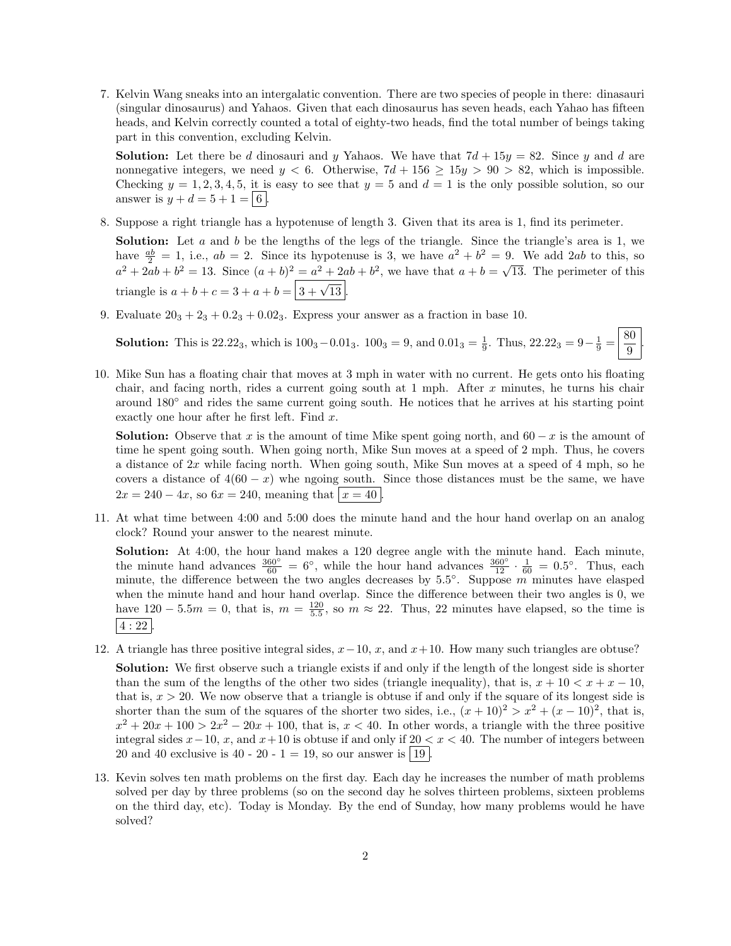7. Kelvin Wang sneaks into an intergalatic convention. There are two species of people in there: dinasauri (singular dinosaurus) and Yahaos. Given that each dinosaurus has seven heads, each Yahao has fifteen heads, and Kelvin correctly counted a total of eighty-two heads, find the total number of beings taking part in this convention, excluding Kelvin.

**Solution:** Let there be d dinosauri and y Yahaos. We have that  $7d + 15y = 82$ . Since y and d are nonnegative integers, we need  $y < 6$ . Otherwise,  $7d + 156 \ge 15y > 90 > 82$ , which is impossible. Checking  $y = 1, 2, 3, 4, 5$ , it is easy to see that  $y = 5$  and  $d = 1$  is the only possible solution, so our answer is  $y + d = 5 + 1 = |6|$ .

8. Suppose a right triangle has a hypotenuse of length 3. Given that its area is 1, find its perimeter.

**Solution:** Let a and b be the lengths of the legs of the triangle. Since the triangle's area is 1, we have  $\frac{ab}{2} = 1$ , i.e.,  $ab = 2$ . Since its hypotenuse is 3, we have  $a^2 + b^2 = 9$ . We add 2ab to this, so  $a^2 + 2ab + b^2 = 13$ . Since  $(a + b)^2 = a^2 + 2ab + b^2$ , we have that  $a + b =$ √ 13. The perimeter of this triangle is  $a + b + c = 3 + a + b = \boxed{3 + \sqrt{13}}$ .

9. Evaluate  $20_3 + 2_3 + 0.2_3 + 0.02_3$ . Express your answer as a fraction in base 10.

**Solution:** This is 22.22<sub>3</sub>, which is  $100_3 - 0.01_3$ .  $100_3 = 9$ , and  $0.01_3 = \frac{1}{9}$ . Thus,  $22.22_3 = 9 - \frac{1}{9} = \frac{80}{9}$ 9

.

10. Mike Sun has a floating chair that moves at 3 mph in water with no current. He gets onto his floating chair, and facing north, rides a current going south at  $1$  mph. After  $x$  minutes, he turns his chair around 180◦ and rides the same current going south. He notices that he arrives at his starting point exactly one hour after he first left. Find  $x$ .

**Solution:** Observe that x is the amount of time Mike spent going north, and  $60 - x$  is the amount of time he spent going south. When going north, Mike Sun moves at a speed of 2 mph. Thus, he covers a distance of 2x while facing north. When going south, Mike Sun moves at a speed of 4 mph, so he covers a distance of  $4(60 - x)$  whe ngoing south. Since those distances must be the same, we have  $2x = 240 - 4x$ , so  $6x = 240$ , meaning that  $x = 40$ .

11. At what time between 4:00 and 5:00 does the minute hand and the hour hand overlap on an analog clock? Round your answer to the nearest minute.

Solution: At 4:00, the hour hand makes a 120 degree angle with the minute hand. Each minute, the minute hand advances  $\frac{360°}{60} = 6°$ , while the hour hand advances  $\frac{360°}{12} \cdot \frac{1}{60} = 0.5°$ . Thus, each minute, the difference between the two angles decreases by  $5.5^{\circ}$ . Suppose m minutes have elasped when the minute hand and hour hand overlap. Since the difference between their two angles is 0, we have  $120 - 5.5m = 0$ , that is,  $m = \frac{120}{5.5}$ , so  $m \approx 22$ . Thus, 22 minutes have elapsed, so the time is  $|4:22|$ 

12. A triangle has three positive integral sides,  $x-10$ ,  $x$ , and  $x+10$ . How many such triangles are obtuse?

Solution: We first observe such a triangle exists if and only if the length of the longest side is shorter than the sum of the lengths of the other two sides (triangle inequality), that is,  $x + 10 < x + x - 10$ , that is,  $x > 20$ . We now observe that a triangle is obtuse if and only if the square of its longest side is shorter than the sum of the squares of the shorter two sides, i.e.,  $(x + 10)^2 > x^2 + (x - 10)^2$ , that is,  $x^2 + 20x + 100 > 2x^2 - 20x + 100$ , that is,  $x < 40$ . In other words, a triangle with the three positive integral sides  $x-10$ , x, and  $x+10$  is obtuse if and only if  $20 < x < 40$ . The number of integers between 20 and 40 exclusive is 40 - 20 - 1 = 19, so our answer is  $|19|$ .

13. Kevin solves ten math problems on the first day. Each day he increases the number of math problems solved per day by three problems (so on the second day he solves thirteen problems, sixteen problems on the third day, etc). Today is Monday. By the end of Sunday, how many problems would he have solved?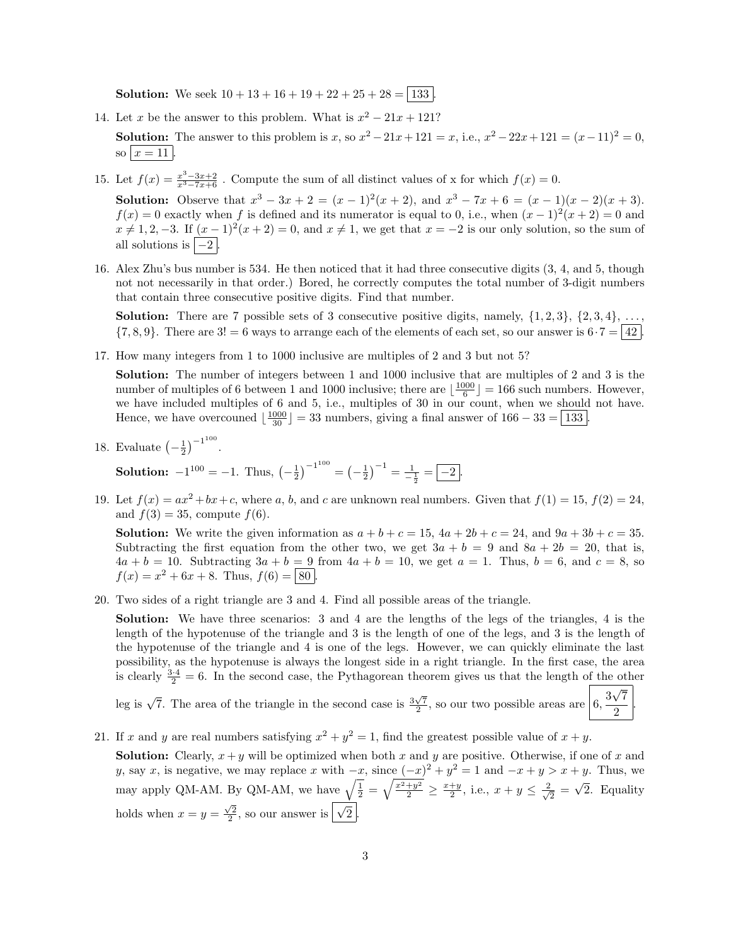**Solution:** We seek  $10 + 13 + 16 + 19 + 22 + 25 + 28 = 133$ 

- 14. Let x be the answer to this problem. What is  $x^2 21x + 121$ ? **Solution:** The answer to this problem is x, so  $x^2 - 21x + 121 = x$ , i.e.,  $x^2 - 22x + 121 = (x - 11)^2 = 0$ , so  $x = 11$ .
- 15. Let  $f(x) = \frac{x^3 3x + 2}{x^3 7x + 6}$ . Compute the sum of all distinct values of x for which  $f(x) = 0$ .

**Solution:** Observe that  $x^3 - 3x + 2 = (x - 1)^2(x + 2)$ , and  $x^3 - 7x + 6 = (x - 1)(x - 2)(x + 3)$ .  $f(x) = 0$  exactly when f is defined and its numerator is equal to 0, i.e., when  $(x - 1)^2(x + 2) = 0$  and  $x \neq 1, 2, -3$ . If  $(x - 1)^2(x + 2) = 0$ , and  $x \neq 1$ , we get that  $x = -2$  is our only solution, so the sum of all solutions is  $|-2|$ .

16. Alex Zhu's bus number is 534. He then noticed that it had three consecutive digits (3, 4, and 5, though not not necessarily in that order.) Bored, he correctly computes the total number of 3-digit numbers that contain three consecutive positive digits. Find that number.

**Solution:** There are 7 possible sets of 3 consecutive positive digits, namely,  $\{1, 2, 3\}$ ,  $\{2, 3, 4\}$ , ...  ${7, 8, 9}$ . There are  $3! = 6$  ways to arrange each of the elements of each set, so our answer is  $6 \cdot 7 = |42|$ .

17. How many integers from 1 to 1000 inclusive are multiples of 2 and 3 but not 5?

Solution: The number of integers between 1 and 1000 inclusive that are multiples of 2 and 3 is the number of multiples of 6 between 1 and 1000 inclusive; there are  $\lfloor \frac{1000}{6} \rfloor = 166$  such numbers. However, we have included multiples of 6 and 5, i.e., multiples of 30 in our count, when we should not have. Hence, we have overcouned  $\lfloor \frac{1000}{30} \rfloor = 33$  numbers, giving a final answer of  $166 - 33 = 133$ .

18. Evaluate  $\left(-\frac{1}{2}\right)^{-1^{100}}$ .

**Solution:**  $-1^{100} = -1$ . Thus,  $\left(-\frac{1}{2}\right)^{-1^{100}} = \left(-\frac{1}{2}\right)^{-1} = \frac{1}{-\frac{1}{2}} = \boxed{-2}$ .

19. Let  $f(x) = ax^2 + bx + c$ , where a, b, and c are unknown real numbers. Given that  $f(1) = 15$ ,  $f(2) = 24$ , and  $f(3) = 35$ , compute  $f(6)$ .

**Solution:** We write the given information as  $a + b + c = 15$ ,  $4a + 2b + c = 24$ , and  $9a + 3b + c = 35$ . Subtracting the first equation from the other two, we get  $3a + b = 9$  and  $8a + 2b = 20$ , that is,  $4a + b = 10$ . Subtracting  $3a + b = 9$  from  $4a + b = 10$ , we get  $a = 1$ . Thus,  $b = 6$ , and  $c = 8$ , so  $f(x) = x^2 + 6x + 8$ . Thus,  $f(6) = |80|$ .

20. Two sides of a right triangle are 3 and 4. Find all possible areas of the triangle.

Solution: We have three scenarios: 3 and 4 are the lengths of the legs of the triangles, 4 is the length of the hypotenuse of the triangle and 3 is the length of one of the legs, and 3 is the length of the hypotenuse of the triangle and 4 is one of the legs. However, we can quickly eliminate the last possibility, as the hypotenuse is always the longest side in a right triangle. In the first case, the area is clearly  $\frac{3\cdot 4}{2} = 6$ . In the second case, the Pythagorean theorem gives us that the length of the other √

7  $\frac{1}{2}$ .

leg is  $\sqrt{7}$ . The area of the triangle in the second case is  $\frac{3\sqrt{7}}{2}$ , so our two possible areas are  $6, \frac{3}{5}$ 

21. If x and y are real numbers satisfying  $x^2 + y^2 = 1$ , find the greatest possible value of  $x + y$ .

**Solution:** Clearly,  $x + y$  will be optimized when both x and y are positive. Otherwise, if one of x and y, say x, is negative, we may replace x with  $-x$ , since  $(-x)^2 + y^2 = 1$  and  $-x + y > x + y$ . Thus, we may apply QM-AM. By QM-AM, we have  $\sqrt{\frac{1}{2}} = \sqrt{\frac{x^2+y^2}{2}} \ge \frac{x+y}{2}$ , i.e.,  $x + y \le \frac{2}{\sqrt{2}}$  $\frac{1}{2}$  = √ 2. Equality holds when  $x = y = \frac{\sqrt{2}}{2}$ , so our answer is  $\boxed{\sqrt{2}}$ .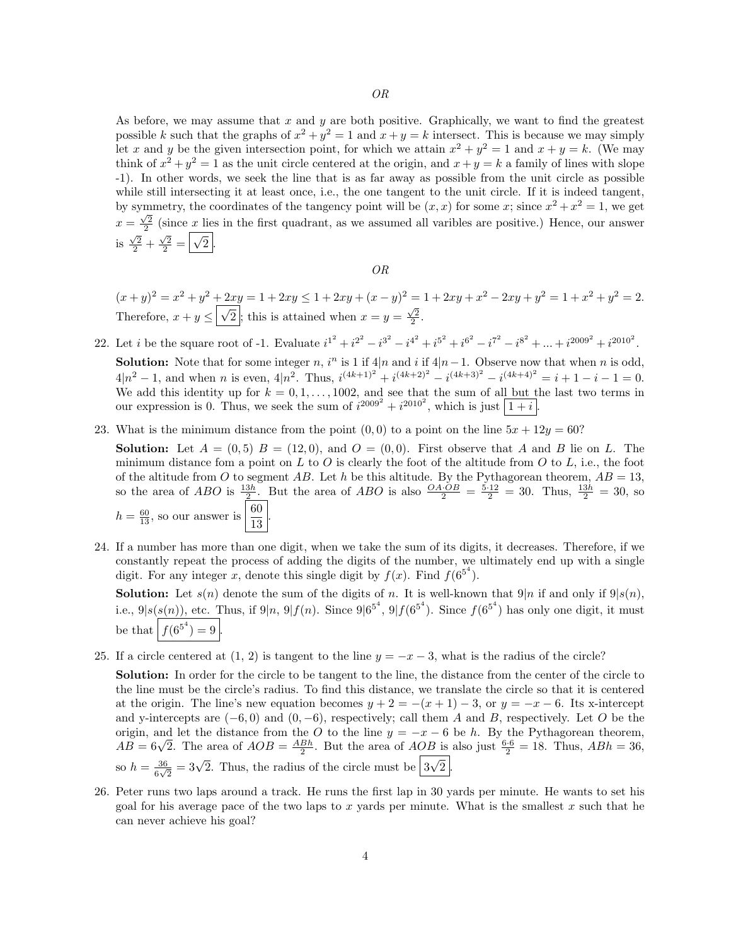As before, we may assume that  $x$  and  $y$  are both positive. Graphically, we want to find the greatest possible k such that the graphs of  $x^2 + y^2 = 1$  and  $x + y = k$  intersect. This is because we may simply let x and y be the given intersection point, for which we attain  $x^2 + y^2 = 1$  and  $x + y = k$ . (We may think of  $x^2 + y^2 = 1$  as the unit circle centered at the origin, and  $x + y = k$  a family of lines with slope -1). In other words, we seek the line that is as far away as possible from the unit circle as possible while still intersecting it at least once, i.e., the one tangent to the unit circle. If it is indeed tangent, by symmetry, the coordinates of the tangency point will be  $(x, x)$  for some x; since  $x^2 + x^2 = 1$ , we get  $x = \frac{\sqrt{2}}{2}$  (since x lies in the first quadrant, as we assumed all varibles are positive.) Hence, our answer is  $\frac{\sqrt{2}}{2} + \frac{\sqrt{2}}{2} =$ √  $2$  .

#### OR

$$
(x+y)^2 = x^2 + y^2 + 2xy = 1 + 2xy \le 1 + 2xy + (x-y)^2 = 1 + 2xy + x^2 - 2xy + y^2 = 1 + x^2 + y^2 = 2.
$$
Therefore,  $x + y \le \boxed{\sqrt{2}}$ ; this is attained when  $x = y = \frac{\sqrt{2}}{2}$ .

- 22. Let *i* be the square root of -1. Evaluate  $i^{1^2} + i^{2^2} i^{3^2} i^{4^2} + i^{5^2} + i^{6^2} i^{7^2} i^{8^2} + \dots + i^{2009^2} + i^{2010^2}$ . **Solution:** Note that for some integer n, i<sup>n</sup> is 1 if 4|n and i if 4|n−1. Observe now that when n is odd,  $4|n^2-1$ , and when n is even,  $4|n^2$ . Thus,  $i^{(4k+1)^2} + i^{(4k+2)^2} - i^{(4k+3)^2} - i^{(4k+4)^2} = i+1-i-1=0$ . We add this identity up for  $k = 0, 1, \ldots, 1002$ , and see that the sum of all but the last two terms in our expression is 0. Thus, we seek the sum of  $i^{2009^2} + i^{2010^2}$ , which is just  $\boxed{1+i}$ .
- 23. What is the minimum distance from the point  $(0,0)$  to a point on the line  $5x + 12y = 60$ ?

**Solution:** Let  $A = (0, 5)$   $B = (12, 0)$ , and  $O = (0, 0)$ . First observe that A and B lie on L. The minimum distance fom a point on L to O is clearly the foot of the altitude from O to L, i.e., the foot of the altitude from O to segment AB. Let h be this altitude. By the Pythagorean theorem,  $AB = 13$ , so the area of ABO is  $\frac{13h}{2}$ . But the area of ABO is also  $\frac{OA \cdot OB}{2} = \frac{5 \cdot 12}{2} = 30$ . Thus,  $\frac{13h}{2} = 30$ , so  $h = \frac{60}{13}$ , so our answer is  $\left| \frac{60}{13} \right|$  $\frac{58}{13}$ 

24. If a number has more than one digit, when we take the sum of its digits, it decreases. Therefore, if we constantly repeat the process of adding the digits of the number, we ultimately end up with a single digit. For any integer x, denote this single digit by  $f(x)$ . Find  $f(6^{5^4})$ .

**Solution:** Let  $s(n)$  denote the sum of the digits of n. It is well-known that  $9|n$  if and only if  $9|s(n)$ , i.e.,  $9|s(s(n))$ , etc. Thus, if  $9|n, 9|f(n)$ . Since  $9|6^{5^4}$ ,  $9|f(6^{5^4})$ . Since  $f(6^{5^4})$  has only one digit, it must be that  $|f(6^{5^4}) = 9|$ .

25. If a circle centered at  $(1, 2)$  is tangent to the line  $y = -x - 3$ , what is the radius of the circle?

Solution: In order for the circle to be tangent to the line, the distance from the center of the circle to the line must be the circle's radius. To find this distance, we translate the circle so that it is centered at the origin. The line's new equation becomes  $y + 2 = -(x + 1) - 3$ , or  $y = -x - 6$ . Its x-intercept and y-intercepts are  $(-6, 0)$  and  $(0, -6)$ , respectively; call them A and B, respectively. Let O be the origin, and let the distance from the O to the line  $y = -x - 6$  be h. By the Pythagorean theorem,  $AB = 6\sqrt{2}$ . The area of  $AOB = \frac{ABh}{2}$ . But the area of  $AOB$  is also just  $\frac{6\cdot 6}{2} = 18$ . Thus,  $ABh = 36$ , so  $h=\frac{36}{6}$  $\frac{36}{6\sqrt{2}} = 3\sqrt{2}$ . Thus, the radius of the circle must be  $\boxed{3}$ √  $2$  .

26. Peter runs two laps around a track. He runs the first lap in 30 yards per minute. He wants to set his goal for his average pace of the two laps to x yards per minute. What is the smallest x such that he can never achieve his goal?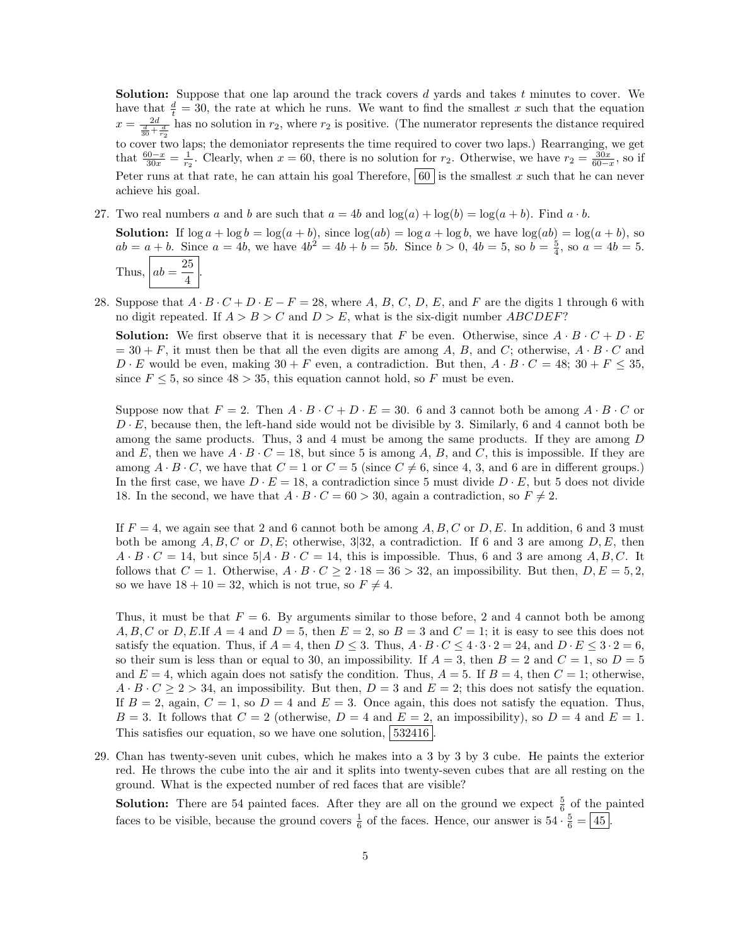**Solution:** Suppose that one lap around the track covers  $d$  vards and takes  $t$  minutes to cover. We have that  $\frac{d}{t} = 30$ , the rate at which he runs. We want to find the smallest x such that the equation  $x = \frac{2d}{\frac{d}{30} + \frac{d}{r_2}}$  has no solution in  $r_2$ , where  $r_2$  is positive. (The numerator represents the distance required to cover two laps; the demoniator represents the time required to cover two laps.) Rearranging, we get that  $\frac{60-x}{30x} = \frac{1}{r_2}$ . Clearly, when  $x = 60$ , there is no solution for  $r_2$ . Otherwise, we have  $r_2 = \frac{30x}{60-x}$ , so if Peter runs at that rate, he can attain his goal Therefore,  $\begin{bmatrix} 60 \\ \end{bmatrix}$  is the smallest x such that he can never achieve his goal.

- 27. Two real numbers a and b are such that  $a = 4b$  and  $\log(a) + \log(b) = \log(a+b)$ . Find  $a \cdot b$ .
	- **Solution:** If  $\log a + \log b = \log(a + b)$ , since  $\log(ab) = \log a + \log b$ , we have  $\log(ab) = \log(a + b)$ , so  $ab = a + b$ . Since  $a = 4b$ , we have  $4b^2 = 4b + b = 5b$ . Since  $b > 0$ ,  $4b = 5$ , so  $b = \frac{5}{4}$ , so  $a = 4b = 5$ . Thus,  $ab = \frac{25}{4}$  $\frac{1}{4}$
- 28. Suppose that  $A \cdot B \cdot C + D \cdot E F = 28$ , where A, B, C, D, E, and F are the digits 1 through 6 with no digit repeated. If  $A > B > C$  and  $D > E$ , what is the six-digit number ABCDEF?

**Solution:** We first observe that it is necessary that F be even. Otherwise, since  $A \cdot B \cdot C + D \cdot E$  $= 30 + F$ , it must then be that all the even digits are among A, B, and C; otherwise,  $A \cdot B \cdot C$  and  $D \cdot E$  would be even, making  $30 + F$  even, a contradiction. But then,  $A \cdot B \cdot C = 48$ ;  $30 + F \le 35$ , since  $F \leq 5$ , so since  $48 > 35$ , this equation cannot hold, so F must be even.

Suppose now that  $F = 2$ . Then  $A \cdot B \cdot C + D \cdot E = 30$ . 6 and 3 cannot both be among  $A \cdot B \cdot C$  or  $D \cdot E$ , because then, the left-hand side would not be divisible by 3. Similarly, 6 and 4 cannot both be among the same products. Thus, 3 and 4 must be among the same products. If they are among D and E, then we have  $A \cdot B \cdot C = 18$ , but since 5 is among A, B, and C, this is impossible. If they are among  $A \cdot B \cdot C$ , we have that  $C = 1$  or  $C = 5$  (since  $C \neq 6$ , since 4, 3, and 6 are in different groups.) In the first case, we have  $D \cdot E = 18$ , a contradiction since 5 must divide  $D \cdot E$ , but 5 does not divide 18. In the second, we have that  $A \cdot B \cdot C = 60 > 30$ , again a contradiction, so  $F \neq 2$ .

If  $F = 4$ , we again see that 2 and 6 cannot both be among A, B, C or D, E. In addition, 6 and 3 must both be among  $A, B, C$  or  $D, E$ ; otherwise, 3|32, a contradiction. If 6 and 3 are among  $D, E$ , then  $A \cdot B \cdot C = 14$ , but since  $5 \mid A \cdot B \cdot C = 14$ , this is impossible. Thus, 6 and 3 are among A, B, C. It follows that  $C = 1$ . Otherwise,  $A \cdot B \cdot C \ge 2 \cdot 18 = 36 > 32$ , an impossibility. But then,  $D, E = 5, 2$ , so we have  $18 + 10 = 32$ , which is not true, so  $F \neq 4$ .

Thus, it must be that  $F = 6$ . By arguments similar to those before, 2 and 4 cannot both be among A, B, C or D, E.If  $A = 4$  and  $D = 5$ , then  $E = 2$ , so  $B = 3$  and  $C = 1$ ; it is easy to see this does not satisfy the equation. Thus, if  $A = 4$ , then  $D \le 3$ . Thus,  $A \cdot B \cdot C \le 4 \cdot 3 \cdot 2 = 24$ , and  $D \cdot E \le 3 \cdot 2 = 6$ , so their sum is less than or equal to 30, an impossibility. If  $A = 3$ , then  $B = 2$  and  $C = 1$ , so  $D = 5$ and  $E = 4$ , which again does not satisfy the condition. Thus,  $A = 5$ . If  $B = 4$ , then  $C = 1$ ; otherwise,  $A \cdot B \cdot C \ge 2 > 34$ , an impossibility. But then,  $D = 3$  and  $E = 2$ ; this does not satisfy the equation. If  $B = 2$ , again,  $C = 1$ , so  $D = 4$  and  $E = 3$ . Once again, this does not satisfy the equation. Thus,  $B = 3$ . It follows that  $C = 2$  (otherwise,  $D = 4$  and  $E = 2$ , an impossibility), so  $D = 4$  and  $E = 1$ . This satisfies our equation, so we have one solution, 532416

29. Chan has twenty-seven unit cubes, which he makes into a 3 by 3 by 3 cube. He paints the exterior red. He throws the cube into the air and it splits into twenty-seven cubes that are all resting on the ground. What is the expected number of red faces that are visible?

**Solution:** There are 54 painted faces. After they are all on the ground we expect  $\frac{5}{6}$  of the painted faces to be visible, because the ground covers  $\frac{1}{6}$  of the faces. Hence, our answer is  $54 \cdot \frac{5}{6} = 45$ .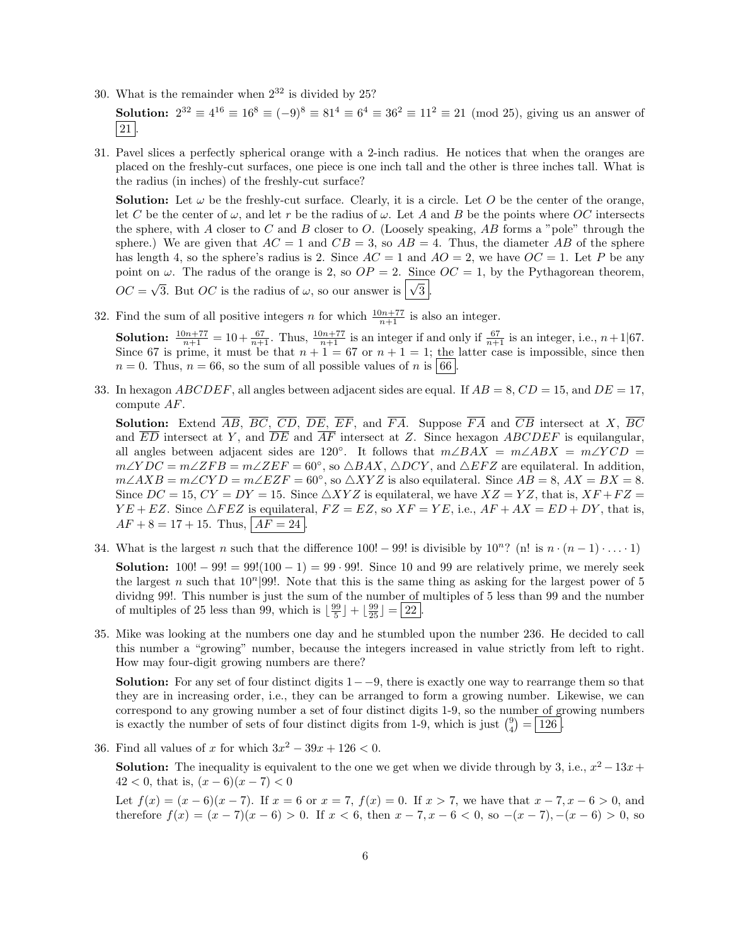30. What is the remainder when  $2^{32}$  is divided by 25?

**Solution:**  $2^{32} \equiv 4^{16} \equiv 16^8 \equiv (-9)^8 \equiv 81^4 \equiv 6^4 \equiv 36^2 \equiv 11^2 \equiv 21 \pmod{25}$ , giving us an answer of  $\vert 21 \vert$ 

31. Pavel slices a perfectly spherical orange with a 2-inch radius. He notices that when the oranges are placed on the freshly-cut surfaces, one piece is one inch tall and the other is three inches tall. What is the radius (in inches) of the freshly-cut surface?

**Solution:** Let  $\omega$  be the freshly-cut surface. Clearly, it is a circle. Let O be the center of the orange, let C be the center of  $\omega$ , and let r be the radius of  $\omega$ . Let A and B be the points where OC intersects the sphere, with A closer to C and B closer to O. (Loosely speaking, AB forms a "pole" through the sphere.) We are given that  $AC = 1$  and  $CB = 3$ , so  $AB = 4$ . Thus, the diameter AB of the sphere has length 4, so the sphere's radius is 2. Since  $AC = 1$  and  $AO = 2$ , we have  $OC = 1$ . Let P be any point on  $\omega$ . The radus of the orange is 2, so  $OP = 2$ . Since  $OC = 1$ , by the Pythagorean theorem,  $OC =$  $\sqrt{3}$ . But *OC* is the radius of  $\omega$ , so our answer is  $\sqrt{3}$ .

32. Find the sum of all positive integers n for which  $\frac{10n+77}{n+1}$  is also an integer.

**Solution:**  $\frac{10n+77}{n+1} = 10 + \frac{67}{n+1}$ . Thus,  $\frac{10n+77}{n+1}$  is an integer if and only if  $\frac{67}{n+1}$  is an integer, i.e.,  $n+1|67$ . Since 67 is prime, it must be that  $n + 1 = 67$  or  $n + 1 = 1$ ; the latter case is impossible, since then  $n = 0$ . Thus,  $n = 66$ , so the sum of all possible values of n is 66.

33. In hexagon  $ABCDEF$ , all angles between adjacent sides are equal. If  $AB = 8$ ,  $CD = 15$ , and  $DE = 17$ , compute AF.

**Solution:** Extend  $\overline{AB}$ ,  $\overline{BC}$ ,  $\overline{CD}$ ,  $\overline{DE}$ ,  $\overline{EF}$ , and  $\overline{FA}$ . Suppose  $\overline{FA}$  and  $\overline{CB}$  intersect at X,  $\overline{BC}$ and  $\overline{ED}$  intersect at Y, and  $\overline{DE}$  and  $\overline{AF}$  intersect at Z. Since hexagon ABCDEF is equilangular, all angles between adjacent sides are 120°. It follows that  $m\angle BAX = m\angle ABX = m\angle YCD$  $m\angle YDC = m\angle ZFB = m\angle ZEF = 60^{\circ}$ , so  $\triangle BAX$ ,  $\triangle DCY$ , and  $\triangle EFZ$  are equilateral. In addition,  $m\angle AXB = m\angle CYD = m\angle EZF = 60^\circ$ , so  $\triangle XYZ$  is also equilateral. Since  $AB = 8$ ,  $AX = BX = 8$ . Since  $DC = 15$ ,  $CY = DY = 15$ . Since  $\triangle XYZ$  is equilateral, we have  $XZ = YZ$ , that is,  $XF + FZ =$  $YE + EZ$ . Since  $\triangle FEZ$  is equilateral,  $FZ = EZ$ , so  $XF = YE$ , i.e.,  $AF + AX = ED + DY$ , that is,  $AF + 8 = 17 + 15$ . Thus,  $AF = 24$ .

- 34. What is the largest n such that the difference 100! 99! is divisible by  $10^{n}$ ? (n! is  $n \cdot (n-1) \cdot ... \cdot 1$ ) **Solution:**  $100! - 99! = 99!(100 - 1) = 99 \cdot 99!$ . Since 10 and 99 are relatively prime, we merely seek the largest n such that  $10^n|99!$ . Note that this is the same thing as asking for the largest power of 5 dividng 99!. This number is just the sum of the number of multiples of 5 less than 99 and the number of multiples of 25 less than 99, which is  $\lfloor \frac{99}{5} \rfloor + \lfloor \frac{99}{25} \rfloor = 22$ .
- 35. Mike was looking at the numbers one day and he stumbled upon the number 236. He decided to call this number a "growing" number, because the integers increased in value strictly from left to right. How may four-digit growing numbers are there?

**Solution:** For any set of four distinct digits  $1-9$ , there is exactly one way to rearrange them so that they are in increasing order, i.e., they can be arranged to form a growing number. Likewise, we can correspond to any growing number a set of four distinct digits 1-9, so the number of growing numbers is exactly the number of sets of four distinct digits from 1-9, which is just  $\binom{9}{4} = \boxed{126}$ .

36. Find all values of x for which  $3x^2 - 39x + 126 < 0$ .

**Solution:** The inequality is equivalent to the one we get when we divide through by 3, i.e.,  $x^2 - 13x +$  $42 < 0$ , that is,  $(x-6)(x-7) < 0$ 

Let  $f(x) = (x - 6)(x - 7)$ . If  $x = 6$  or  $x = 7$ ,  $f(x) = 0$ . If  $x > 7$ , we have that  $x - 7$ ,  $x - 6 > 0$ , and therefore  $f(x) = (x - 7)(x - 6) > 0$ . If  $x < 6$ , then  $x - 7, x - 6 < 0$ , so  $-(x - 7), -(x - 6) > 0$ , so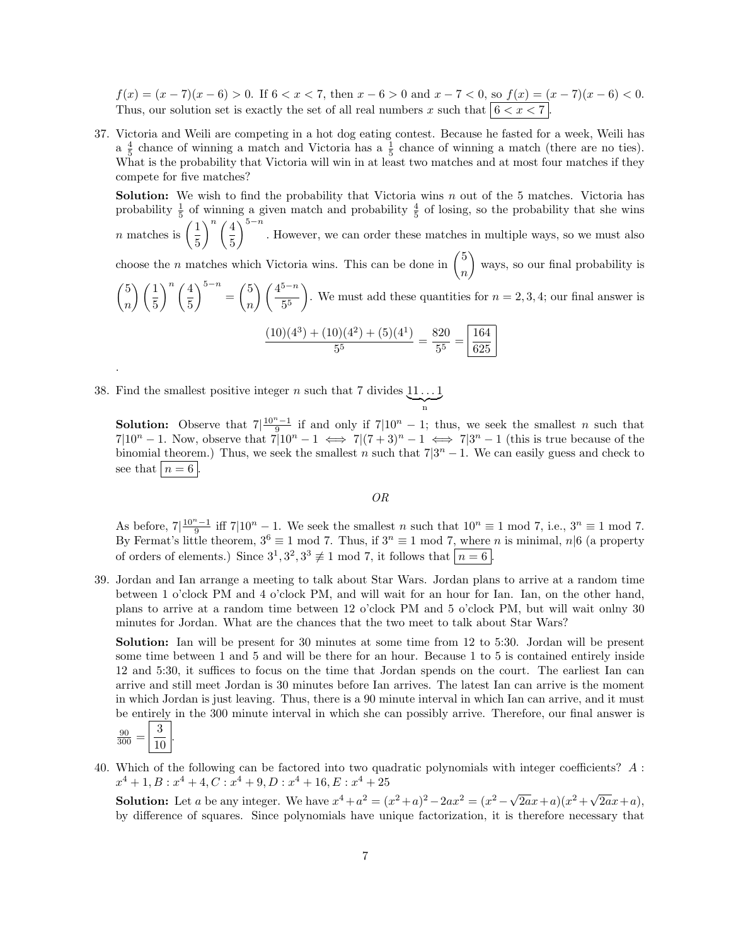$f(x) = (x - 7)(x - 6) > 0$ . If  $6 < x < 7$ , then  $x - 6 > 0$  and  $x - 7 < 0$ , so  $f(x) = (x - 7)(x - 6) < 0$ . Thus, our solution set is exactly the set of all real numbers x such that  $6 < x < 7$ .

37. Victoria and Weili are competing in a hot dog eating contest. Because he fasted for a week, Weili has  $a \frac{4}{5}$  chance of winning a match and Victoria has  $a \frac{1}{5}$  chance of winning a match (there are no ties). What is the probability that Victoria will win in at least two matches and at most four matches if they compete for five matches?

**Solution:** We wish to find the probability that Victoria wins  $n$  out of the 5 matches. Victoria has probability  $\frac{1}{5}$  of winning a given match and probability  $\frac{4}{5}$  of losing, so the probability that she wins *n* matches is  $\left(\frac{1}{5}\right)$ 5  $\binom{n}{4}$ 5  $\int_{0}^{5-n}$ . However, we can order these matches in multiple ways, so we must also

choose the *n* matches which Victoria wins. This can be done in  $\binom{5}{1}$ n ways, so our final probability is

 $\sqrt{5}$ n  $\setminus$   $\bigwedge$ 5  $\binom{n}{4}$ 5  $\Big)^{5-n} = \Big($ n  $\binom{4^{5-n}}{4}$ 5 5 ). We must add these quantities for  $n = 2, 3, 4$ ; our final answer is

$$
\frac{(10)(4^3) + (10)(4^2) + (5)(4^1)}{5^5} = \frac{820}{5^5} = \boxed{\frac{164}{625}}
$$

38. Find the smallest positive integer n such that 7 divides  $11 \dots 1$  $\sum_{n}$ 

**Solution:** Observe that  $7\frac{10^{n}-1}{9}$  if and only if  $7\frac{10^{n}-1}{3}$ ; thus, we seek the smallest *n* such that  $7|10^n-1$ . Now, observe that  $7|10^n-1 \iff 7|(7+3)^n-1 \iff 7|3^n-1$  (this is true because of the binomial theorem.) Thus, we seek the smallest n such that  $7|3^n - 1$ . We can easily guess and check to see that  $n = 6$ 

n

OR

As before,  $7\left|\frac{10^{n}-1}{9}\right|$  iff  $7\left|10^{n}-1\right|$ . We seek the smallest n such that  $10^{n}\equiv 1 \mod 7$ , i.e.,  $3^{n}\equiv 1 \mod 7$ . By Fermat's little theorem,  $3^6 \equiv 1 \mod 7$ . Thus, if  $3^n \equiv 1 \mod 7$ , where n is minimal,  $n \mid 6$  (a property of orders of elements.) Since  $3^1, 3^2, 3^3 \not\equiv 1 \mod 7$ , it follows that  $n = 6$ .

39. Jordan and Ian arrange a meeting to talk about Star Wars. Jordan plans to arrive at a random time between 1 o'clock PM and 4 o'clock PM, and will wait for an hour for Ian. Ian, on the other hand, plans to arrive at a random time between 12 o'clock PM and 5 o'clock PM, but will wait onlny 30 minutes for Jordan. What are the chances that the two meet to talk about Star Wars?

Solution: Ian will be present for 30 minutes at some time from 12 to 5:30. Jordan will be present some time between 1 and 5 and will be there for an hour. Because 1 to 5 is contained entirely inside 12 and 5:30, it suffices to focus on the time that Jordan spends on the court. The earliest Ian can arrive and still meet Jordan is 30 minutes before Ian arrives. The latest Ian can arrive is the moment in which Jordan is just leaving. Thus, there is a 90 minute interval in which Ian can arrive, and it must be entirely in the 300 minute interval in which she can possibly arrive. Therefore, our final answer is  $\sqrt{2}$ 

$$
\frac{90}{300} = \left\lfloor \frac{3}{10} \right\rfloor.
$$

.

40. Which of the following can be factored into two quadratic polynomials with integer coefficients? A :  $x^4 + 1, B: x^4 + 4, C: x^4 + 9, D: x^4 + 16, E: x^4 + 25$ 

**Solution:** Let a be any integer. We have  $x^4 + a^2 = (x^2 + a)^2 - 2ax^2 = (x^2 - \sqrt{2})$  $\frac{1}{2a}x+a(x^2+y)$  $2ax+a$ , by difference of squares. Since polynomials have unique factorization, it is therefore necessary that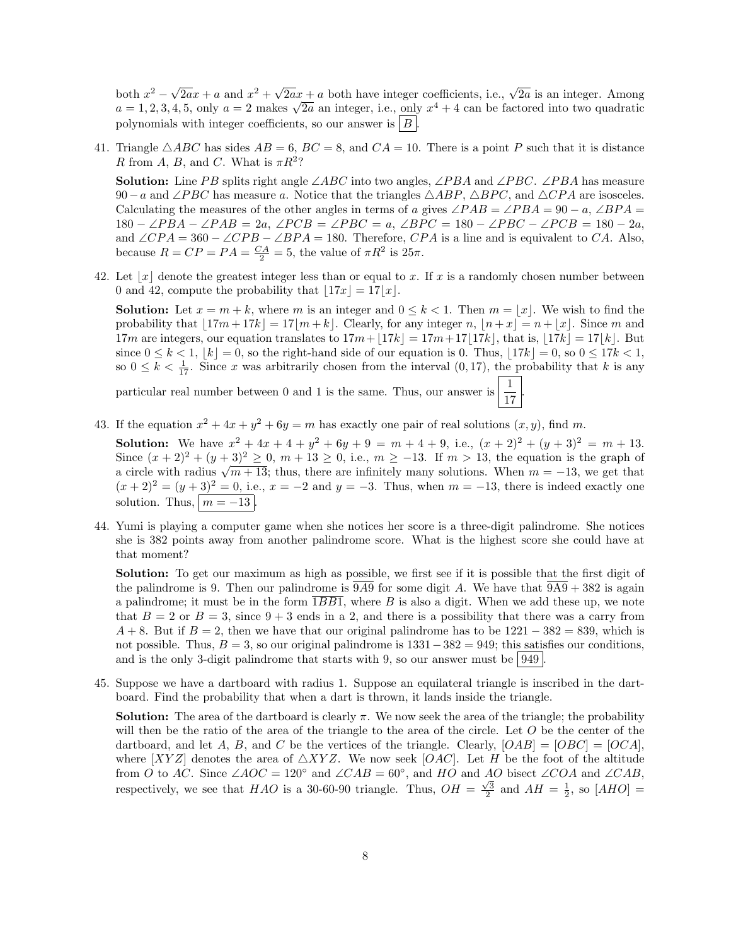both  $x^2 - \sqrt{ }$  $\sqrt{2a}x + a$  and  $x^2 + \sqrt{2a}x + a$  both have integer coefficients, i.e.,  $\sqrt{2a}$  is an integer. Among both  $x^2 - \sqrt{2ax} + a$  and  $x^2 + \sqrt{2ax} + a$  both have integer coefficients, i.e.,  $\sqrt{2a}$  is an integer. Among  $a = 1, 2, 3, 4, 5$ , only  $a = 2$  makes  $\sqrt{2a}$  an integer, i.e., only  $x^4 + 4$  can be factored into two quadratic polynomials with integer coefficients, so our answer is  $|B|$ 

41. Triangle  $\triangle ABC$  has sides  $AB = 6$ ,  $BC = 8$ , and  $CA = 10$ . There is a point P such that it is distance R from A, B, and C. What is  $\pi R^2$ ?

**Solution:** Line PB splits right angle ∠ABC into two angles, ∠PBA and ∠PBC. ∠PBA has measure 90−a and ∠PBC has measure a. Notice that the triangles  $\triangle ABP$ ,  $\triangle BPC$ , and  $\triangle CPA$  are isosceles. Calculating the measures of the other angles in terms of a gives  $\angle PAB = \angle PBA = 90 - a$ ,  $\angle BPA =$  $180 - \angle PBA - \angle PAB = 2a$ ,  $\angle PCB = \angle PBC = a$ ,  $\angle BPC = 180 - \angle PBC - \angle PCB = 180 - 2a$ , and  $\angle CPA = 360 - \angle CPB - \angle BPA = 180$ . Therefore, CPA is a line and is equivalent to CA. Also, because  $R = CP = PA = \frac{CA}{2} = 5$ , the value of  $\pi R^2$  is  $25\pi$ .

42. Let  $|x|$  denote the greatest integer less than or equal to x. If x is a randomly chosen number between 0 and 42, compute the probability that  $|17x| = 17|x|$ .

**Solution:** Let  $x = m + k$ , where m is an integer and  $0 \leq k < 1$ . Then  $m = |x|$ . We wish to find the probability that  $|17m + 17k| = 17|m + k|$ . Clearly, for any integer n,  $|h + x| = n + |x|$ . Since m and 17m are integers, our equation translates to  $17m+17k = 17m+17|17k|$ , that is,  $|17k| = 17|k|$ . But since  $0 \leq k < 1$ ,  $\lfloor k \rfloor = 0$ , so the right-hand side of our equation is 0. Thus,  $\lfloor 17k \rfloor = 0$ , so  $0 \leq 17k < 1$ , so  $0 \leq k < \frac{1}{17}$ . Since x was arbitrarily chosen from the interval  $(0, 17)$ , the probability that k is any

.

particular real number between 0 and 1 is the same. Thus, our answer is  $\frac{1}{17}$ 

43. If the equation  $x^2 + 4x + y^2 + 6y = m$  has exactly one pair of real solutions  $(x, y)$ , find m.

**Solution:** We have  $x^2 + 4x + 4 + y^2 + 6y + 9 = m + 4 + 9$ , i.e.,  $(x + 2)^2 + (y + 3)^2 = m + 13$ . Since  $(x + 2)^2 + (y + 3)^2 \ge 0$ ,  $m + 13 \ge 0$ , i.e.,  $m \ge -13$ . If  $m > 13$ , the equation is the graph of since  $(x + 2)^{-} + (y + 3)^{-} \ge 0$ ,  $m + 13 \ge 0$ , i.e.,  $m \ge -13$ . If  $m > 13$ , the equation is the graph or a circle with radius  $\sqrt{m+13}$ ; thus, there are infinitely many solutions. When  $m = -13$ , we get that  $(x+2)^2 = (y+3)^2 = 0$ , i.e.,  $x = -2$  and  $y = -3$ . Thus, when  $m = -13$ , there is indeed exactly one solution. Thus,  $m = -13$ 

44. Yumi is playing a computer game when she notices her score is a three-digit palindrome. She notices she is 382 points away from another palindrome score. What is the highest score she could have at that moment?

Solution: To get our maximum as high as possible, we first see if it is possible that the first digit of the palindrome is 9. Then our palindrome is  $\overline{9A9}$  for some digit A. We have that  $\overline{9A9} + 382$  is again a palindrome; it must be in the form  $1BB1$ , where B is also a digit. When we add these up, we note that  $B = 2$  or  $B = 3$ , since  $9 + 3$  ends in a 2, and there is a possibility that there was a carry from  $A + 8$ . But if  $B = 2$ , then we have that our original palindrome has to be  $1221 - 382 = 839$ , which is not possible. Thus,  $B = 3$ , so our original palindrome is  $1331-382 = 949$ ; this satisfies our conditions, and is the only 3-digit palindrome that starts with 9, so our answer must be  $949$ .

45. Suppose we have a dartboard with radius 1. Suppose an equilateral triangle is inscribed in the dartboard. Find the probability that when a dart is thrown, it lands inside the triangle.

**Solution:** The area of the dartboard is clearly  $\pi$ . We now seek the area of the triangle; the probability will then be the ratio of the area of the triangle to the area of the circle. Let  $O$  be the center of the dartboard, and let A, B, and C be the vertices of the triangle. Clearly,  $[OAB] = [OBC] = [OCA]$ , where  $[XYZ]$  denotes the area of  $\triangle XYZ$ . We now seek  $[OAC]$ . Let H be the foot of the altitude from O to AC. Since  $\angle AOC = 120^{\circ}$  and  $\angle CAB = 60^{\circ}$ , and HO and AO bisect  $\angle COA$  and  $\angle CAB$ , respectively, we see that  $HAO$  is a 30-60-90 triangle. Thus,  $OH = \frac{\sqrt{3}}{2}$  and  $AH = \frac{1}{2}$ , so  $[AHO] =$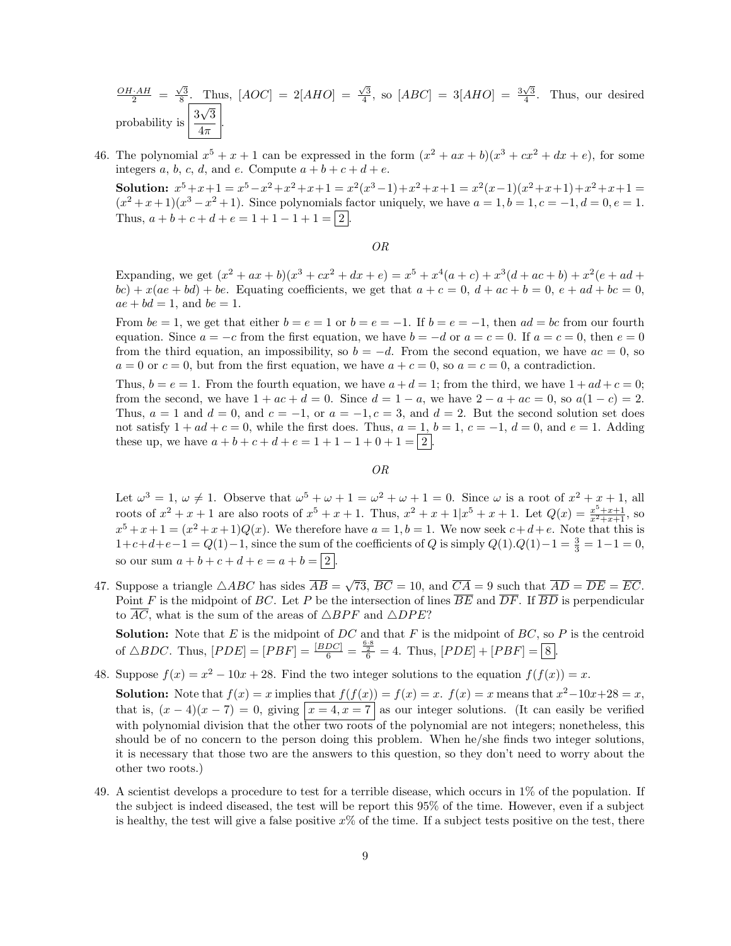$$
\frac{OH \cdot AH}{2} = \frac{\sqrt{3}}{8}
$$
. Thus,  $[AOC] = 2[ABO] = \frac{\sqrt{3}}{4}$ , so  $[ABC] = 3[ABO] = \frac{3\sqrt{3}}{4}$ . Thus, our desired probability is  $\frac{3\sqrt{3}}{4\pi}$ .

46. The polynomial  $x^5 + x + 1$  can be expressed in the form  $(x^2 + ax + b)(x^3 + cx^2 + dx + e)$ , for some integers a, b, c, d, and e. Compute  $a + b + c + d + e$ .

Solution:  $x^5 + x + 1 = x^5 - x^2 + x^2 + x + 1 = x^2(x^3 - 1) + x^2 + x + 1 = x^2(x - 1)(x^2 + x + 1) + x^2 + x + 1 =$  $(x^{2}+x+1)(x^{3}-x^{2}+1)$ . Since polynomials factor uniquely, we have  $a = 1, b = 1, c = -1, d = 0, e = 1$ . Thus,  $a + b + c + d + e = 1 + 1 - 1 + 1 = \boxed{2}$ .

#### OR

Expanding, we get  $(x^2 + ax + b)(x^3 + cx^2 + dx + e) = x^5 + x^4(a+c) + x^3(d+ac+b) + x^2(e+ad+e)$  $bc) + x(ae + bd) + be.$  Equating coefficients, we get that  $a + c = 0$ ,  $d + ac + b = 0$ ,  $e + ad + bc = 0$ ,  $ae + bd = 1$ , and  $be = 1$ .

From  $be = 1$ , we get that either  $b = e = 1$  or  $b = e = -1$ . If  $b = e = -1$ , then  $ad = bc$  from our fourth equation. Since  $a = -c$  from the first equation, we have  $b = -d$  or  $a = c = 0$ . If  $a = c = 0$ , then  $e = 0$ from the third equation, an impossibility, so  $b = -d$ . From the second equation, we have  $ac = 0$ , so  $a = 0$  or  $c = 0$ , but from the first equation, we have  $a + c = 0$ , so  $a = c = 0$ , a contradiction.

Thus,  $b = e = 1$ . From the fourth equation, we have  $a + d = 1$ ; from the third, we have  $1 + ad + c = 0$ ; from the second, we have  $1 + ac + d = 0$ . Since  $d = 1 - a$ , we have  $2 - a + ac = 0$ , so  $a(1 - c) = 2$ . Thus,  $a = 1$  and  $d = 0$ , and  $c = -1$ , or  $a = -1, c = 3$ , and  $d = 2$ . But the second solution set does not satisfy  $1 + ad + c = 0$ , while the first does. Thus,  $a = 1$ ,  $b = 1$ ,  $c = -1$ ,  $d = 0$ , and  $e = 1$ . Adding these up, we have  $a + b + c + d + e = 1 + 1 - 1 + 0 + 1 = 2$ .

OR

Let  $\omega^3 = 1, \omega \neq 1$ . Observe that  $\omega^5 + \omega + 1 = \omega^2 + \omega + 1 = 0$ . Since  $\omega$  is a root of  $x^2 + x + 1$ , all roots of  $x^2 + x + 1$  are also roots of  $x^5 + x + 1$ . Thus,  $x^2 + x + 1/x^5 + x + 1$ . Let  $Q(x) = \frac{x^5 + x + 1}{x^2 + x + 1}$ , so  $x^5 + x + 1 = (x^2 + x + 1)Q(x)$ . We therefore have  $a = 1, b = 1$ . We now seek  $c + d + e$ . Note that this is  $1+c+d+e-1 = Q(1)-1$ , since the sum of the coefficients of Q is simply  $Q(1).Q(1)-1 = \frac{3}{3} = 1-1 = 0$ , so our sum  $a + b + c + d + e = a + b = \boxed{2}$ 

47. Suppose a triangle  $\triangle ABC$  has sides  $\overline{AB}$  = √ 73,  $BC = 10$ , and  $CA = 9$  such that  $AD = DE = EC$ . Point F is the midpoint of BC. Let P be the intersection of lines  $\overline{BE}$  and  $\overline{DF}$ . If  $\overline{BD}$  is perpendicular to  $\overline{AC}$ , what is the sum of the areas of  $\triangle BPF$  and  $\triangle DPE$ ?

**Solution:** Note that  $E$  is the midpoint of  $DC$  and that  $F$  is the midpoint of  $BC$ , so  $P$  is the centroid of  $\triangle BDC$ . Thus,  $[PDE] = [PBF] = \frac{[BDC]}{6} = \frac{\frac{6.8}{2}}{6} = 4$ . Thus,  $[PDE] + [PBF] = [8]$ .

48. Suppose  $f(x) = x^2 - 10x + 28$ . Find the two integer solutions to the equation  $f(f(x)) = x$ .

**Solution:** Note that  $f(x) = x$  implies that  $f(f(x)) = f(x) = x$ .  $f(x) = x$  means that  $x^2 - 10x + 28 = x$ , that is,  $(x-4)(x-7) = 0$ , giving  $\boxed{x=4, x=7}$  as our integer solutions. (It can easily be verified with polynomial division that the other two roots of the polynomial are not integers; nonetheless, this should be of no concern to the person doing this problem. When he/she finds two integer solutions, it is necessary that those two are the answers to this question, so they don't need to worry about the other two roots.)

49. A scientist develops a procedure to test for a terrible disease, which occurs in 1% of the population. If the subject is indeed diseased, the test will be report this 95% of the time. However, even if a subject is healthy, the test will give a false positive  $x\%$  of the time. If a subject tests positive on the test, there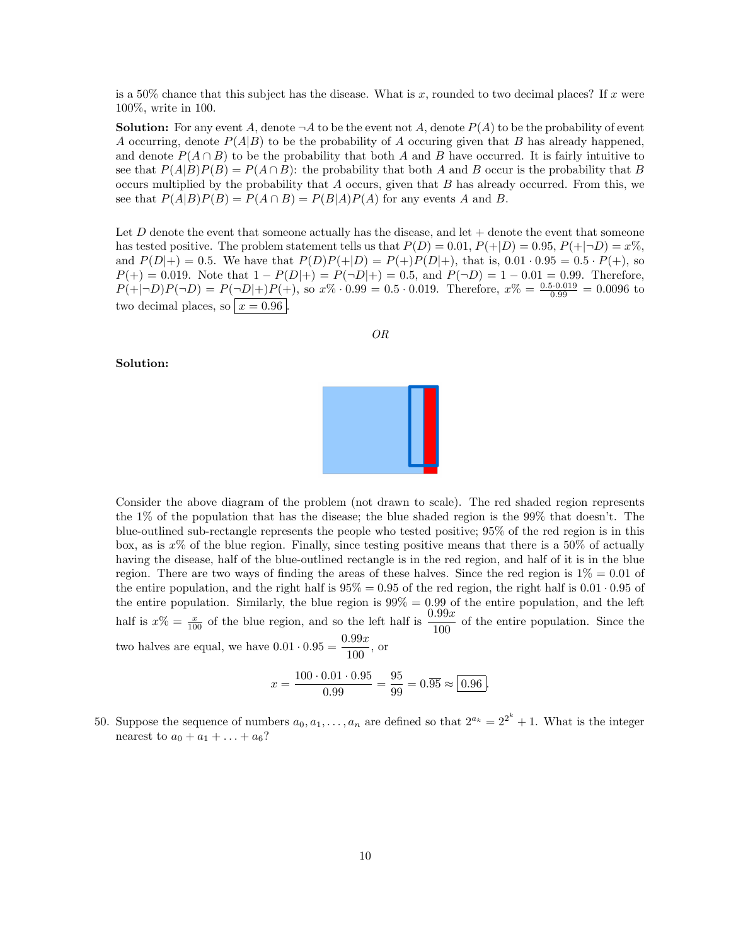is a 50% chance that this subject has the disease. What is x, rounded to two decimal places? If x were 100%, write in 100.

**Solution:** For any event A, denote  $\neg A$  to be the event not A, denote  $P(A)$  to be the probability of event A occurring, denote  $P(A|B)$  to be the probability of A occuring given that B has already happened, and denote  $P(A \cap B)$  to be the probability that both A and B have occurred. It is fairly intuitive to see that  $P(A|B)P(B) = P(A \cap B)$ : the probability that both A and B occur is the probability that B occurs multiplied by the probability that  $A$  occurs, given that  $B$  has already occurred. From this, we see that  $P(A|B)P(B) = P(A \cap B) = P(B|A)P(A)$  for any events A and B.

Let D denote the event that someone actually has the disease, and let  $+$  denote the event that someone has tested positive. The problem statement tells us that  $P(D) = 0.01$ ,  $P(+|D) = 0.95$ ,  $P(+|\neg D) = x\%$ . and  $P(D|+) = 0.5$ . We have that  $P(D)P(+|D) = P(+)P(D|+)$ , that is,  $0.01 \cdot 0.95 = 0.5 \cdot P(+)$ , so  $P(+) = 0.019$ . Note that  $1 - P(D|+) = P(\neg D|+) = 0.5$ , and  $P(\neg D) = 1 - 0.01 = 0.99$ . Therefore,  $P(+|\neg D)P(\neg D) = P(\neg D|+)P(+)$ , so  $x\% \cdot 0.99 = 0.5 \cdot 0.019$ . Therefore,  $x\% = \frac{0.5 \cdot 0.019}{0.99} = 0.0096$  to two decimal places, so  $\boxed{x = 0.96}$ .

$$
OR
$$

### Solution:



Consider the above diagram of the problem (not drawn to scale). The red shaded region represents the 1% of the population that has the disease; the blue shaded region is the 99% that doesn't. The blue-outlined sub-rectangle represents the people who tested positive; 95% of the red region is in this box, as is  $x\%$  of the blue region. Finally, since testing positive means that there is a 50% of actually having the disease, half of the blue-outlined rectangle is in the red region, and half of it is in the blue region. There are two ways of finding the areas of these halves. Since the red region is  $1\% = 0.01$  of the entire population, and the right half is  $95\% = 0.95$  of the red region, the right half is  $0.01 \cdot 0.95$  of the entire population. Similarly, the blue region is  $99\% = 0.99$  of the entire population, and the left half is  $x\% = \frac{x}{100}$  of the blue region, and so the left half is  $\frac{0.99x}{100}$  of the entire population. Since the two halves are equal, we have  $0.01 \cdot 0.95 = \frac{0.99x}{100}$  $\frac{100}{100}$ , or

$$
x = \frac{100 \cdot 0.01 \cdot 0.95}{0.99} = \frac{95}{99} = 0.\overline{95} \approx \boxed{0.96}.
$$

50. Suppose the sequence of numbers  $a_0, a_1, \ldots, a_n$  are defined so that  $2^{a_k} = 2^{2^k} + 1$ . What is the integer nearest to  $a_0 + a_1 + ... + a_6$ ?